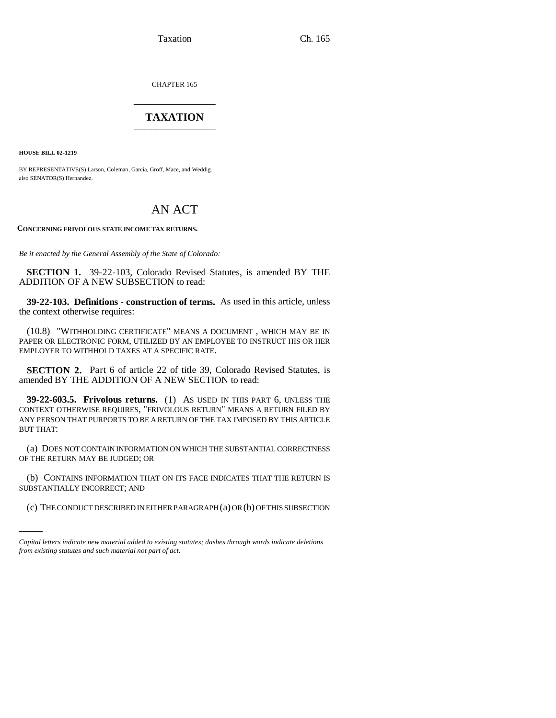Taxation Ch. 165

CHAPTER 165 \_\_\_\_\_\_\_\_\_\_\_\_\_\_\_

## **TAXATION** \_\_\_\_\_\_\_\_\_\_\_\_\_\_\_

**HOUSE BILL 02-1219**

BY REPRESENTATIVE(S) Larson, Coleman, Garcia, Groff, Mace, and Weddig; also SENATOR(S) Hernandez.

## AN ACT

**CONCERNING FRIVOLOUS STATE INCOME TAX RETURNS.**

*Be it enacted by the General Assembly of the State of Colorado:*

**SECTION 1.** 39-22-103, Colorado Revised Statutes, is amended BY THE ADDITION OF A NEW SUBSECTION to read:

**39-22-103. Definitions - construction of terms.** As used in this article, unless the context otherwise requires:

(10.8) "WITHHOLDING CERTIFICATE" MEANS A DOCUMENT , WHICH MAY BE IN PAPER OR ELECTRONIC FORM, UTILIZED BY AN EMPLOYEE TO INSTRUCT HIS OR HER EMPLOYER TO WITHHOLD TAXES AT A SPECIFIC RATE.

**SECTION 2.** Part 6 of article 22 of title 39, Colorado Revised Statutes, is amended BY THE ADDITION OF A NEW SECTION to read:

**39-22-603.5. Frivolous returns.** (1) AS USED IN THIS PART 6, UNLESS THE CONTEXT OTHERWISE REQUIRES, "FRIVOLOUS RETURN" MEANS A RETURN FILED BY ANY PERSON THAT PURPORTS TO BE A RETURN OF THE TAX IMPOSED BY THIS ARTICLE BUT THAT:

(a) DOES NOT CONTAIN INFORMATION ON WHICH THE SUBSTANTIAL CORRECTNESS OF THE RETURN MAY BE JUDGED; OR

COT CONTAINS IN CRIMITION (b) CONTAINS INFORMATION THAT ON ITS FACE INDICATES THAT THE RETURN IS

(c) THE CONDUCT DESCRIBED IN EITHER PARAGRAPH (a) OR (b) OF THIS SUBSECTION

*Capital letters indicate new material added to existing statutes; dashes through words indicate deletions from existing statutes and such material not part of act.*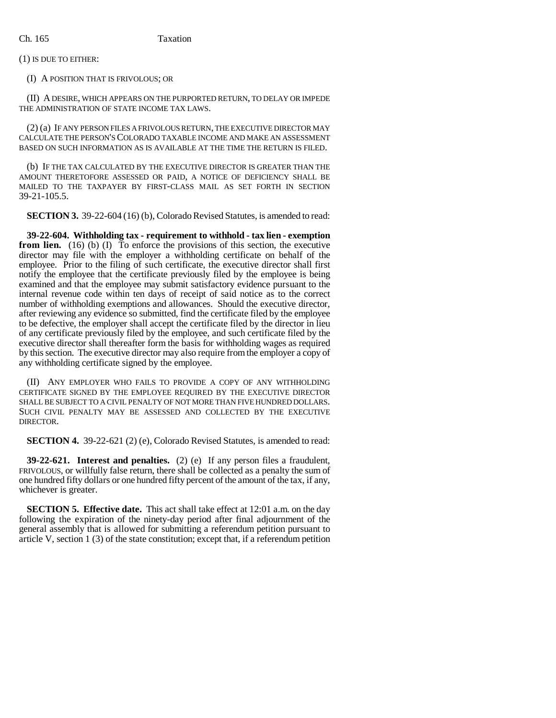## Ch. 165 Taxation

(1) IS DUE TO EITHER:

(I) A POSITION THAT IS FRIVOLOUS; OR

(II) A DESIRE, WHICH APPEARS ON THE PURPORTED RETURN, TO DELAY OR IMPEDE THE ADMINISTRATION OF STATE INCOME TAX LAWS.

(2) (a) IF ANY PERSON FILES A FRIVOLOUS RETURN, THE EXECUTIVE DIRECTOR MAY CALCULATE THE PERSON'S COLORADO TAXABLE INCOME AND MAKE AN ASSESSMENT BASED ON SUCH INFORMATION AS IS AVAILABLE AT THE TIME THE RETURN IS FILED.

(b) IF THE TAX CALCULATED BY THE EXECUTIVE DIRECTOR IS GREATER THAN THE AMOUNT THERETOFORE ASSESSED OR PAID, A NOTICE OF DEFICIENCY SHALL BE MAILED TO THE TAXPAYER BY FIRST-CLASS MAIL AS SET FORTH IN SECTION 39-21-105.5.

**SECTION 3.** 39-22-604 (16) (b), Colorado Revised Statutes, is amended to read:

**39-22-604. Withholding tax - requirement to withhold - tax lien - exemption from lien.** (16) (b) (I) To enforce the provisions of this section, the executive director may file with the employer a withholding certificate on behalf of the employee. Prior to the filing of such certificate, the executive director shall first notify the employee that the certificate previously filed by the employee is being examined and that the employee may submit satisfactory evidence pursuant to the internal revenue code within ten days of receipt of said notice as to the correct number of withholding exemptions and allowances. Should the executive director, after reviewing any evidence so submitted, find the certificate filed by the employee to be defective, the employer shall accept the certificate filed by the director in lieu of any certificate previously filed by the employee, and such certificate filed by the executive director shall thereafter form the basis for withholding wages as required by this section. The executive director may also require from the employer a copy of any withholding certificate signed by the employee.

(II) ANY EMPLOYER WHO FAILS TO PROVIDE A COPY OF ANY WITHHOLDING CERTIFICATE SIGNED BY THE EMPLOYEE REQUIRED BY THE EXECUTIVE DIRECTOR SHALL BE SUBJECT TO A CIVIL PENALTY OF NOT MORE THAN FIVE HUNDRED DOLLARS. SUCH CIVIL PENALTY MAY BE ASSESSED AND COLLECTED BY THE EXECUTIVE **DIRECTOR** 

**SECTION 4.** 39-22-621 (2) (e), Colorado Revised Statutes, is amended to read:

**39-22-621. Interest and penalties.** (2) (e) If any person files a fraudulent, FRIVOLOUS, or willfully false return, there shall be collected as a penalty the sum of one hundred fifty dollars or one hundred fifty percent of the amount of the tax, if any, whichever is greater.

**SECTION 5. Effective date.** This act shall take effect at 12:01 a.m. on the day following the expiration of the ninety-day period after final adjournment of the general assembly that is allowed for submitting a referendum petition pursuant to article V, section 1 (3) of the state constitution; except that, if a referendum petition